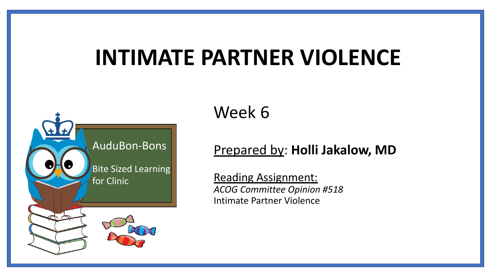# **INTIMATE PARTNER VIOLENCE**



#### Week 6

#### Prepared by: **Holli Jakalow, MD**

Reading Assignment: *ACOG Committee Opinion #518* Intimate Partner Violence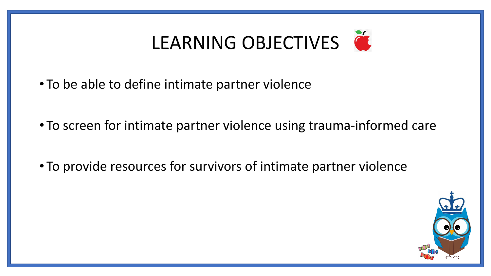# LEARNING OBJECTIVES

- To be able to define intimate partner violence
- To screen for intimate partner violence using trauma-informed care
- To provide resources for survivors of intimate partner violence

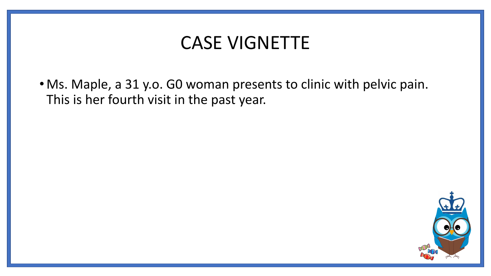### CASE VIGNETTE

• Ms. Maple, a 31 y.o. G0 woman presents to clinic with pelvic pain. This is her fourth visit in the past year.

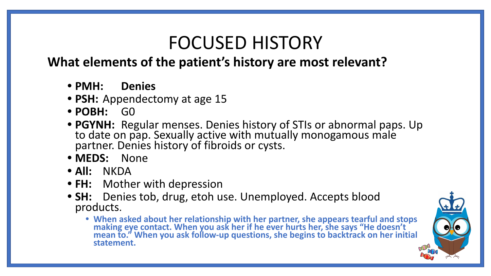# FOCUSED HISTORY

#### **What elements of the patient's history are most relevant?**

- **• PMH: Denies**
- **• PSH:** Appendectomy at age 15
- **• POBH:** G0
- **• PGYNH:** Regular menses. Denies history of STIs or abnormal paps. Up to date on pap. Sexually active with mutually monogamous male partner. Denies history of fibroids or cysts.
- **• MEDS:** None
- **• All:** NKDA
- **• FH:** Mother with depression
- **• SH:** Denies tob, drug, etoh use. Unemployed. Accepts blood products.
	- **• When asked about her relationship with her partner, she appears tearful and stops making eye contact. When you ask her if he ever hurts her, she says "He doesn't mean to." When you ask follow-up questions, she begins to backtrack on her initial statement.**

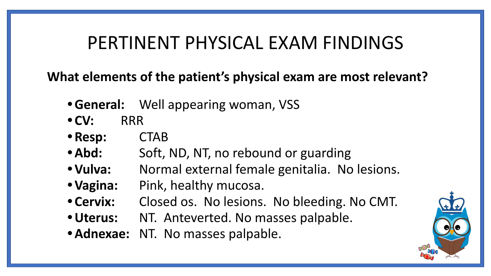### PERTINENT PHYSICAL EXAM FINDINGS

**What elements of the patient's physical exam are most relevant?**

- **•General:** Well appearing woman, VSS
- **• CV:** RRR
- **• Resp:** CTAB
- Abd: Soft, ND, NT, no rebound or guarding
- **• Vulva:** Normal external female genitalia. No lesions.
- **• Vagina:** Pink, healthy mucosa.
- **• Cervix:** Closed os. No lesions. No bleeding. No CMT.
- **•Uterus:** NT. Anteverted. No masses palpable.
- **•Adnexae:** NT. No masses palpable.

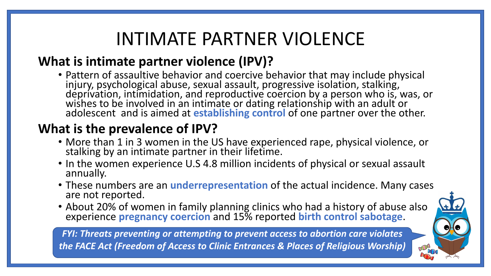# INTIMATE PARTNER VIOLENCE

#### **What is intimate partner violence (IPV)?**

• Pattern of assaultive behavior and coercive behavior that may include physical injury, psychological abuse, sexual assault, progressive isolation, stalking, deprivation, intimidation, and reproductive coercion by a person who is, was, or wishes to be involved in an intimate or dating relationship with an adult or adolescent and is aimed at **establishing control** of one partner over the other.

#### **What is the prevalence of IPV?**

- More than 1 in 3 women in the US have experienced rape, physical violence, or stalking by an intimate partner in their lifetime.
- In the women experience U.S 4.8 million incidents of physical or sexual assault annually.
- These numbers are an **underrepresentation** of the actual incidence. Many cases are not reported.
- About 20% of women in family planning clinics who had a history of abuse also experience **pregnancy coercion** and 15% reported **birth control sabotage**.

*FYI: Threats preventing or attempting to prevent access to abortion care violates the FACE Act (Freedom of Access to Clinic Entrances & Places of Religious Worship)* 

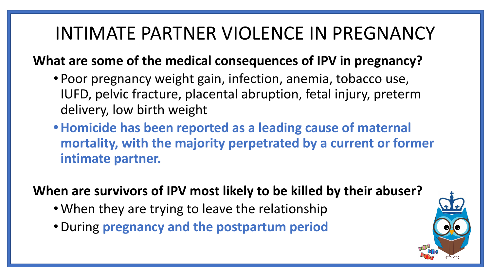# INTIMATE PARTNER VIOLENCE IN PREGNANCY

#### **What are some of the medical consequences of IPV in pregnancy?**

- Poor pregnancy weight gain, infection, anemia, tobacco use, IUFD, pelvic fracture, placental abruption, fetal injury, preterm delivery, low birth weight
- **•Homicide has been reported as a leading cause of maternal mortality, with the majority perpetrated by a current or former intimate partner.**

**When are survivors of IPV most likely to be killed by their abuser?** 

- When they are trying to leave the relationship
- •During **pregnancy and the postpartum period**

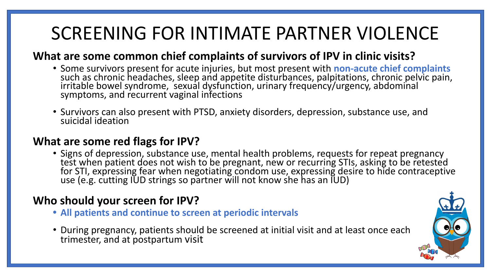# SCREENING FOR INTIMATE PARTNER VIOLENCE

#### **What are some common chief complaints of survivors of IPV in clinic visits?**

- Some survivors present for acute injuries, but most present with **non-acute chief complaints**  such as chronic headaches, sleep and appetite disturbances, palpitations, chronic pelvic pain, irritable bowel syndrome, sexual dysfunction, urinary frequency/urgency, abdominal symptoms, and recurrent vaginal infections
- Survivors can also present with PTSD, anxiety disorders, depression, substance use, and suicidal ideation

#### **What are some red flags for IPV?**

• Signs of depression, substance use, mental health problems, requests for repeat pregnancy test when patient does not wish to be pregnant, new or recurring STIs, asking to be retested for STI, expressing fear when negotiating condom use, expressing desire to hide contraceptive use (e.g. cutting IUD strings so partner will not know she has an IUD)

#### **Who should your screen for IPV?**

- **• All patients and continue to screen at periodic intervals**
- During pregnancy, patients should be screened at initial visit and at least once each trimester, and at postpartum visit

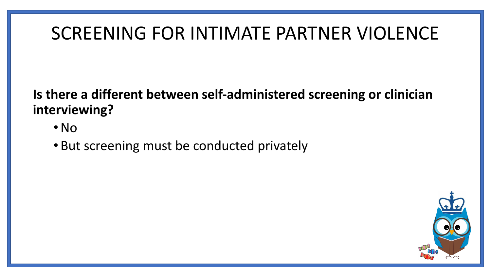## SCREENING FOR INTIMATE PARTNER VIOLENCE

**Is there a different between self-administered screening or clinician interviewing?** 

- •No
- But screening must be conducted privately

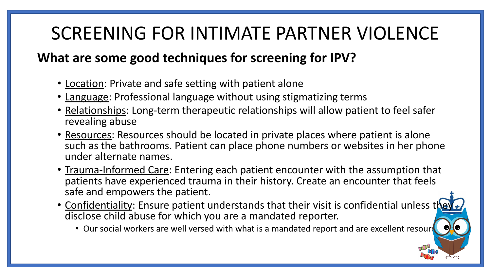# SCREENING FOR INTIMATE PARTNER VIOLENCE

#### **What are some good techniques for screening for IPV?**

- Location: Private and safe setting with patient alone
- Language: Professional language without using stigmatizing terms
- Relationships: Long-term therapeutic relationships will allow patient to feel safer revealing abuse
- Resources: Resources should be located in private places where patient is alone such as the bathrooms. Patient can place phone numbers or websites in her phone under alternate names.
- Trauma-Informed Care: Entering each patient encounter with the assumption that patients have experienced trauma in their history. Create an encounter that feels safe and empowers the patient.
- Confidentiality: Ensure patient understands that their visit is confidential unless the disclose child abuse for which you are a mandated reporter.
	- Our social workers are well versed with what is a mandated report and are excellent resour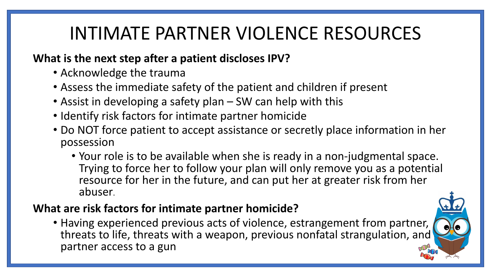# INTIMATE PARTNER VIOLENCE RESOURCES

#### **What is the next step after a patient discloses IPV?**

- Acknowledge the trauma
- Assess the immediate safety of the patient and children if present
- Assist in developing a safety plan SW can help with this
- Identify risk factors for intimate partner homicide
- Do NOT force patient to accept assistance or secretly place information in her possession
	- Your role is to be available when she is ready in a non-judgmental space. Trying to force her to follow your plan will only remove you as a potential resource for her in the future, and can put her at greater risk from her abuser.

#### **What are risk factors for intimate partner homicide?**

• Having experienced previous acts of violence, estrangement from partner, threats to life, threats with a weapon, previous nonfatal strangulation, and partner access to a gun

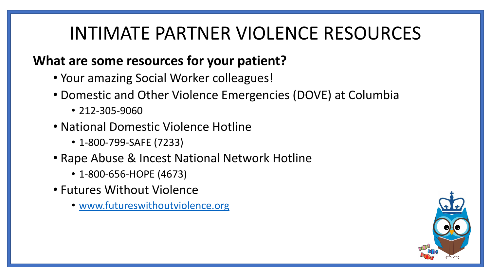# INTIMATE PARTNER VIOLENCE RESOURCES

#### **What are some resources for your patient?**

- Your amazing Social Worker colleagues!
- Domestic and Other Violence Emergencies (DOVE) at Columbia
	- 212-305-9060
- National Domestic Violence Hotline
	- 1-800-799-SAFE (7233)
- Rape Abuse & Incest National Network Hotline
	- 1-800-656-HOPE (4673)
- Futures Without Violence
	- [www.futureswithoutviolence.org](http://www.futureswithoutviolence.org/)

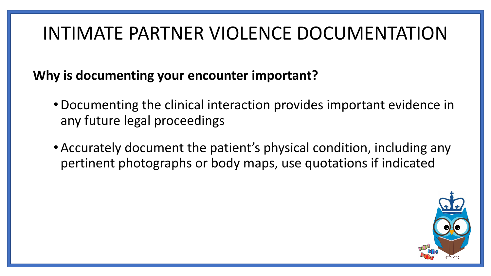# INTIMATE PARTNER VIOLENCE DOCUMENTATION

**Why is documenting your encounter important?** 

- •Documenting the clinical interaction provides important evidence in any future legal proceedings
- •Accurately document the patient's physical condition, including any pertinent photographs or body maps, use quotations if indicated

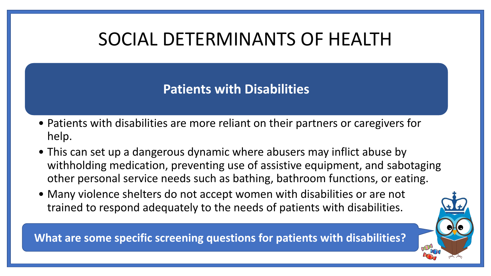# SOCIAL DETERMINANTS OF HEALTH

#### **Patients with Disabilities**

- Patients with disabilities are more reliant on their partners or caregivers for help.
- This can set up a dangerous dynamic where abusers may inflict abuse by withholding medication, preventing use of assistive equipment, and sabotaging other personal service needs such as bathing, bathroom functions, or eating.
- Many violence shelters do not accept women with disabilities or are not trained to respond adequately to the needs of patients with disabilities.

**What are some specific screening questions for patients with disabilities?**

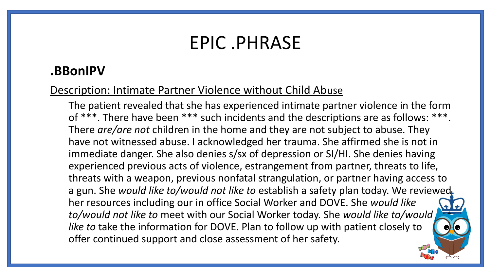### EPIC .PHRASE

#### **.BBonIPV**

#### Description: Intimate Partner Violence without Child Abuse

The patient revealed that she has experienced intimate partner violence in the form of \*\*\*. There have been \*\*\* such incidents and the descriptions are as follows: \*\*\*. There *are/are not* children in the home and they are not subject to abuse. They have not witnessed abuse. I acknowledged her trauma. She affirmed she is not in immediate danger. She also denies s/sx of depression or SI/HI. She denies having experienced previous acts of violence, estrangement from partner, threats to life, threats with a weapon, previous nonfatal strangulation, or partner having access to a gun. She *would like to/would not like to* establish a safety plan today. We reviewed her resources including our in office Social Worker and DOVE. She *would like to/would not like to* meet with our Social Worker today. She *would like to/would not like to* take the information for DOVE. Plan to follow up with patient closely to offer continued support and close assessment of her safety.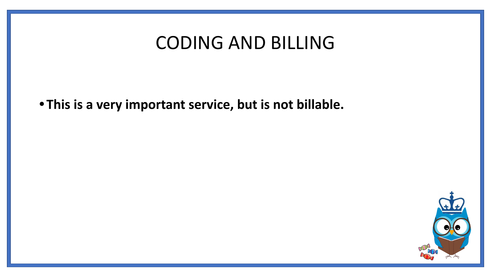### CODING AND BILLING

**• This is a very important service, but is not billable.**